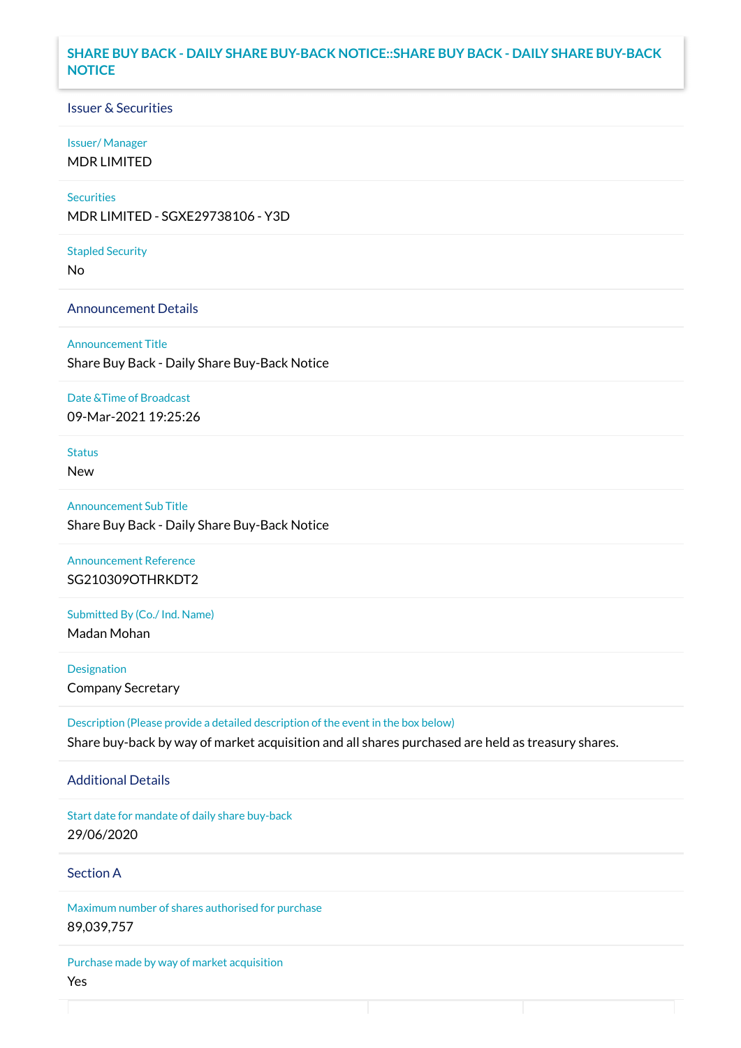### **SHARE BUY BACK - DAILY SHARE BUY-BACK NOTICE::SHARE BUY BACK - DAILY SHARE BUY-BACK NOTICE**

### Issuer & Securities

#### Issuer/ Manager

MDR LIMITED

### **Securities**

MDR LIMITED - SGXE29738106 - Y3D

#### Stapled Security

No

### Announcement Details

Announcement Title Share Buy Back - Daily Share Buy-Back Notice

#### Date &Time of Broadcast

09-Mar-2021 19:25:26

## Status

New

Announcement Sub Title Share Buy Back - Daily Share Buy-Back Notice

Announcement Reference SG210309OTHRKDT2

Submitted By (Co./ Ind. Name)

Madan Mohan

**Designation** Company Secretary

Description (Please provide a detailed description of the event in the box below) Share buy-back by way of market acquisition and all shares purchased are held as treasury shares.

### Additional Details

Start date for mandate of daily share buy-back 29/06/2020

## Section A

Maximum number of shares authorised for purchase 89,039,757

Purchase made by way of market acquisition Yes